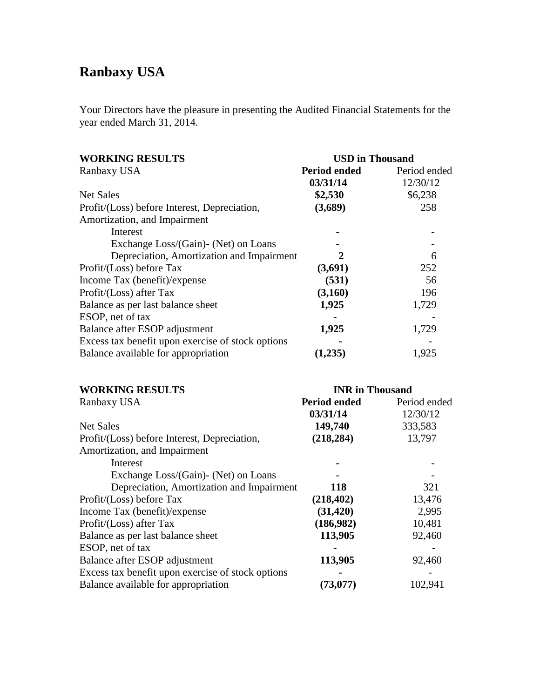# **Ranbaxy USA**

Your Directors have the pleasure in presenting the Audited Financial Statements for the year ended March 31, 2014.

| <b>WORKING RESULTS</b>                            | <b>USD</b> in Thousand |              |
|---------------------------------------------------|------------------------|--------------|
| Ranbaxy USA                                       | Period ended           | Period ended |
|                                                   | 03/31/14               | 12/30/12     |
| <b>Net Sales</b>                                  | \$2,530                | \$6,238      |
| Profit/(Loss) before Interest, Depreciation,      | (3,689)                | 258          |
| Amortization, and Impairment                      |                        |              |
| Interest                                          |                        |              |
| Exchange Loss/(Gain)- (Net) on Loans              |                        |              |
| Depreciation, Amortization and Impairment         | $\mathbf{2}$           | 6            |
| Profit/(Loss) before Tax                          | (3,691)                | 252          |
| Income Tax (benefit)/expense                      | (531)                  | 56           |
| Profit/(Loss) after Tax                           | (3,160)                | 196          |
| Balance as per last balance sheet                 | 1,925                  | 1,729        |
| ESOP, net of tax                                  |                        |              |
| Balance after ESOP adjustment                     | 1,925                  | 1,729        |
| Excess tax benefit upon exercise of stock options |                        |              |
| Balance available for appropriation               | (1,235)                | 1,925        |

| <b>WORKING RESULTS</b>                            | <b>INR</b> in Thousand |              |
|---------------------------------------------------|------------------------|--------------|
| Ranbaxy USA                                       | <b>Period ended</b>    | Period ended |
|                                                   | 03/31/14               | 12/30/12     |
| <b>Net Sales</b>                                  | 149,740                | 333,583      |
| Profit/(Loss) before Interest, Depreciation,      | (218, 284)             | 13,797       |
| Amortization, and Impairment                      |                        |              |
| Interest                                          |                        |              |
| Exchange Loss/(Gain) - (Net) on Loans             |                        |              |
| Depreciation, Amortization and Impairment         | 118                    | 321          |
| Profit/(Loss) before Tax                          | (218, 402)             | 13,476       |
| Income Tax (benefit)/expense                      | (31, 420)              | 2,995        |
| Profit/(Loss) after Tax                           | (186,982)              | 10,481       |
| Balance as per last balance sheet                 | 113,905                | 92,460       |
| ESOP, net of tax                                  |                        |              |
| Balance after ESOP adjustment                     | 113,905                | 92,460       |
| Excess tax benefit upon exercise of stock options |                        |              |
| Balance available for appropriation               | (73, 077)              | 102,941      |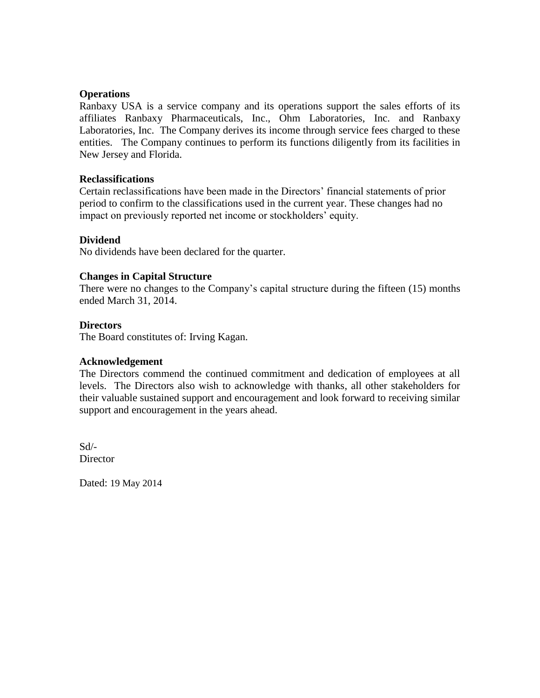# **Operations**

Ranbaxy USA is a service company and its operations support the sales efforts of its affiliates Ranbaxy Pharmaceuticals, Inc., Ohm Laboratories, Inc. and Ranbaxy Laboratories, Inc. The Company derives its income through service fees charged to these entities. The Company continues to perform its functions diligently from its facilities in New Jersey and Florida.

# **Reclassifications**

Certain reclassifications have been made in the Directors' financial statements of prior period to confirm to the classifications used in the current year. These changes had no impact on previously reported net income or stockholders' equity.

# **Dividend**

No dividends have been declared for the quarter.

# **Changes in Capital Structure**

There were no changes to the Company's capital structure during the fifteen (15) months ended March 31, 2014.

# **Directors**

The Board constitutes of: Irving Kagan.

## **Acknowledgement**

The Directors commend the continued commitment and dedication of employees at all levels. The Directors also wish to acknowledge with thanks, all other stakeholders for their valuable sustained support and encouragement and look forward to receiving similar support and encouragement in the years ahead.

 $S<sub>d</sub>$ **Director** 

Dated: 19 May 2014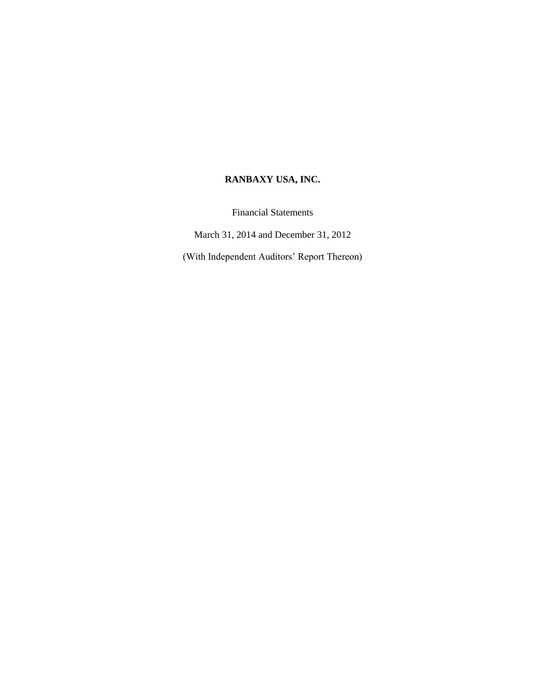# **RANBAXY USA, INC.**

Financial Statements

March 31, 2014 and December 31, 2012

(With Independent Auditors" Report Thereon)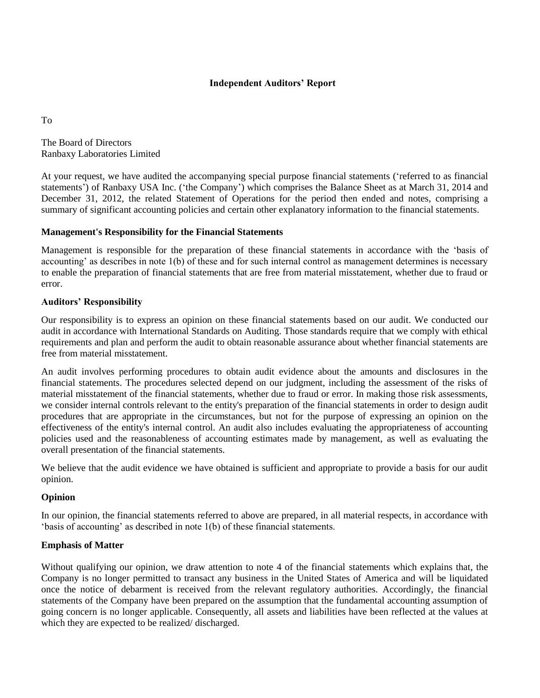# **Independent Auditors' Report**

To

The Board of Directors Ranbaxy Laboratories Limited

At your request, we have audited the accompanying special purpose financial statements ("referred to as financial statements') of Ranbaxy USA Inc. ('the Company') which comprises the Balance Sheet as at March 31, 2014 and December 31, 2012, the related Statement of Operations for the period then ended and notes, comprising a summary of significant accounting policies and certain other explanatory information to the financial statements.

# **Management's Responsibility for the Financial Statements**

Management is responsible for the preparation of these financial statements in accordance with the "basis of accounting' as describes in note 1(b) of these and for such internal control as management determines is necessary to enable the preparation of financial statements that are free from material misstatement, whether due to fraud or error.

# **Auditors' Responsibility**

Our responsibility is to express an opinion on these financial statements based on our audit. We conducted our audit in accordance with International Standards on Auditing. Those standards require that we comply with ethical requirements and plan and perform the audit to obtain reasonable assurance about whether financial statements are free from material misstatement.

An audit involves performing procedures to obtain audit evidence about the amounts and disclosures in the financial statements. The procedures selected depend on our judgment, including the assessment of the risks of material misstatement of the financial statements, whether due to fraud or error. In making those risk assessments, we consider internal controls relevant to the entity's preparation of the financial statements in order to design audit procedures that are appropriate in the circumstances, but not for the purpose of expressing an opinion on the effectiveness of the entity's internal control. An audit also includes evaluating the appropriateness of accounting policies used and the reasonableness of accounting estimates made by management, as well as evaluating the overall presentation of the financial statements.

We believe that the audit evidence we have obtained is sufficient and appropriate to provide a basis for our audit opinion.

## **Opinion**

In our opinion, the financial statements referred to above are prepared, in all material respects, in accordance with "basis of accounting" as described in note 1(b) of these financial statements.

## **Emphasis of Matter**

Without qualifying our opinion, we draw attention to note 4 of the financial statements which explains that, the Company is no longer permitted to transact any business in the United States of America and will be liquidated once the notice of debarment is received from the relevant regulatory authorities. Accordingly, the financial statements of the Company have been prepared on the assumption that the fundamental accounting assumption of going concern is no longer applicable. Consequently, all assets and liabilities have been reflected at the values at which they are expected to be realized/ discharged.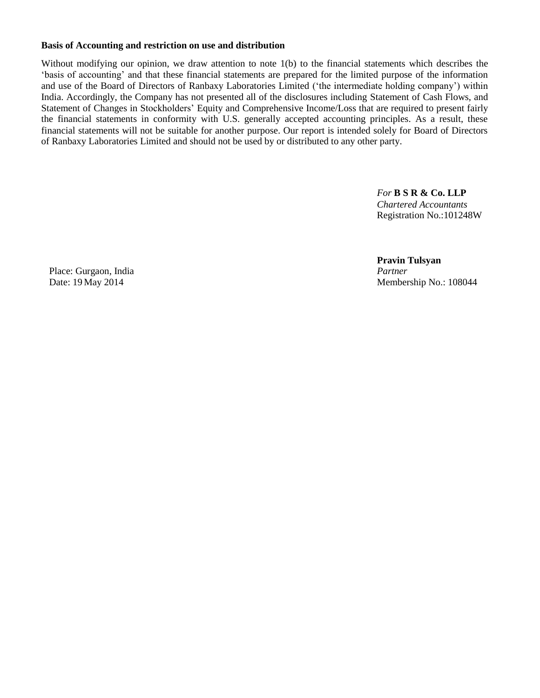#### **Basis of Accounting and restriction on use and distribution**

Without modifying our opinion, we draw attention to note 1(b) to the financial statements which describes the "basis of accounting" and that these financial statements are prepared for the limited purpose of the information and use of the Board of Directors of Ranbaxy Laboratories Limited ("the intermediate holding company") within India. Accordingly, the Company has not presented all of the disclosures including Statement of Cash Flows, and Statement of Changes in Stockholders' Equity and Comprehensive Income/Loss that are required to present fairly the financial statements in conformity with U.S. generally accepted accounting principles. As a result, these financial statements will not be suitable for another purpose. Our report is intended solely for Board of Directors of Ranbaxy Laboratories Limited and should not be used by or distributed to any other party.

> *For* **B S R & Co. LLP** *Chartered Accountants* Registration No.:101248W

Place: Gurgaon, India *Partner* Date: 19 May 2014 **Membership No.: 108044** 

**Pravin Tulsyan**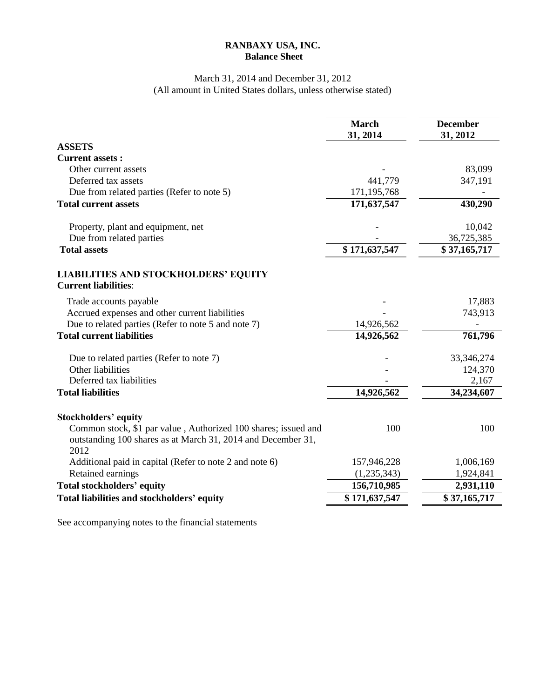#### **RANBAXY USA, INC. Balance Sheet**

# March 31, 2014 and December 31, 2012 (All amount in United States dollars, unless otherwise stated)

|                                                                                                                                        | <b>March</b><br>31, 2014 | <b>December</b><br>31, 2012 |
|----------------------------------------------------------------------------------------------------------------------------------------|--------------------------|-----------------------------|
| <b>ASSETS</b>                                                                                                                          |                          |                             |
| <b>Current assets:</b>                                                                                                                 |                          |                             |
| Other current assets                                                                                                                   |                          | 83,099                      |
| Deferred tax assets                                                                                                                    | 441,779                  | 347,191                     |
| Due from related parties (Refer to note 5)                                                                                             | 171, 195, 768            |                             |
| <b>Total current assets</b>                                                                                                            | 171,637,547              | 430,290                     |
| Property, plant and equipment, net                                                                                                     |                          | 10,042                      |
| Due from related parties                                                                                                               |                          | 36,725,385                  |
| <b>Total assets</b>                                                                                                                    | \$171,637,547            | \$37,165,717                |
| <b>LIABILITIES AND STOCKHOLDERS' EQUITY</b>                                                                                            |                          |                             |
| <b>Current liabilities:</b>                                                                                                            |                          |                             |
| Trade accounts payable                                                                                                                 |                          | 17,883                      |
| Accrued expenses and other current liabilities                                                                                         |                          | 743,913                     |
| Due to related parties (Refer to note 5 and note 7)                                                                                    | 14,926,562               |                             |
| <b>Total current liabilities</b>                                                                                                       | 14,926,562               | 761,796                     |
| Due to related parties (Refer to note 7)                                                                                               |                          | 33,346,274                  |
| Other liabilities                                                                                                                      |                          | 124,370                     |
| Deferred tax liabilities                                                                                                               |                          | 2,167                       |
| <b>Total liabilities</b>                                                                                                               | 14,926,562               | 34,234,607                  |
| <b>Stockholders' equity</b>                                                                                                            |                          |                             |
| Common stock, \$1 par value, Authorized 100 shares; issued and<br>outstanding 100 shares as at March 31, 2014 and December 31,<br>2012 | 100                      | 100                         |
| Additional paid in capital (Refer to note 2 and note 6)                                                                                | 157,946,228              | 1,006,169                   |
| Retained earnings                                                                                                                      | (1,235,343)              | 1,924,841                   |
| <b>Total stockholders' equity</b>                                                                                                      | 156,710,985              | 2,931,110                   |
| Total liabilities and stockholders' equity                                                                                             | \$171,637,547            | \$37,165,717                |
|                                                                                                                                        |                          |                             |

See accompanying notes to the financial statements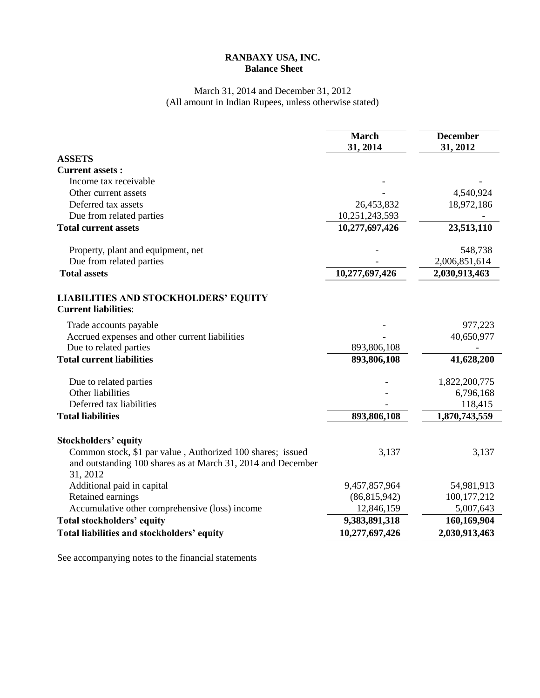#### **RANBAXY USA, INC. Balance Sheet**

# March 31, 2014 and December 31, 2012 (All amount in Indian Rupees, unless otherwise stated)

|                                                                                                                                        | <b>March</b><br>31, 2014 | <b>December</b><br>31, 2012 |
|----------------------------------------------------------------------------------------------------------------------------------------|--------------------------|-----------------------------|
| <b>ASSETS</b>                                                                                                                          |                          |                             |
| <b>Current assets:</b>                                                                                                                 |                          |                             |
| Income tax receivable                                                                                                                  |                          |                             |
| Other current assets                                                                                                                   |                          | 4,540,924                   |
| Deferred tax assets                                                                                                                    | 26,453,832               | 18,972,186                  |
| Due from related parties                                                                                                               | 10,251,243,593           |                             |
| <b>Total current assets</b>                                                                                                            | 10,277,697,426           | 23,513,110                  |
| Property, plant and equipment, net                                                                                                     |                          | 548,738                     |
| Due from related parties                                                                                                               |                          | 2,006,851,614               |
| <b>Total assets</b>                                                                                                                    | 10,277,697,426           | 2,030,913,463               |
| <b>LIABILITIES AND STOCKHOLDERS' EQUITY</b><br><b>Current liabilities:</b>                                                             |                          |                             |
|                                                                                                                                        |                          |                             |
| Trade accounts payable                                                                                                                 |                          | 977,223                     |
| Accrued expenses and other current liabilities                                                                                         |                          | 40,650,977                  |
| Due to related parties                                                                                                                 | 893,806,108              |                             |
| <b>Total current liabilities</b>                                                                                                       | 893,806,108              | 41,628,200                  |
| Due to related parties                                                                                                                 |                          | 1,822,200,775               |
| Other liabilities                                                                                                                      |                          | 6,796,168                   |
| Deferred tax liabilities                                                                                                               |                          | 118,415                     |
| <b>Total liabilities</b>                                                                                                               | 893,806,108              | 1,870,743,559               |
| <b>Stockholders' equity</b>                                                                                                            |                          |                             |
| Common stock, \$1 par value, Authorized 100 shares; issued<br>and outstanding 100 shares as at March 31, 2014 and December<br>31, 2012 | 3,137                    | 3,137                       |
| Additional paid in capital                                                                                                             | 9,457,857,964            | 54,981,913                  |
| Retained earnings                                                                                                                      | (86, 815, 942)           | 100,177,212                 |
| Accumulative other comprehensive (loss) income                                                                                         | 12,846,159               | 5,007,643                   |
| <b>Total stockholders' equity</b>                                                                                                      | 9,383,891,318            | 160,169,904                 |
| Total liabilities and stockholders' equity                                                                                             | 10,277,697,426           | 2,030,913,463               |

See accompanying notes to the financial statements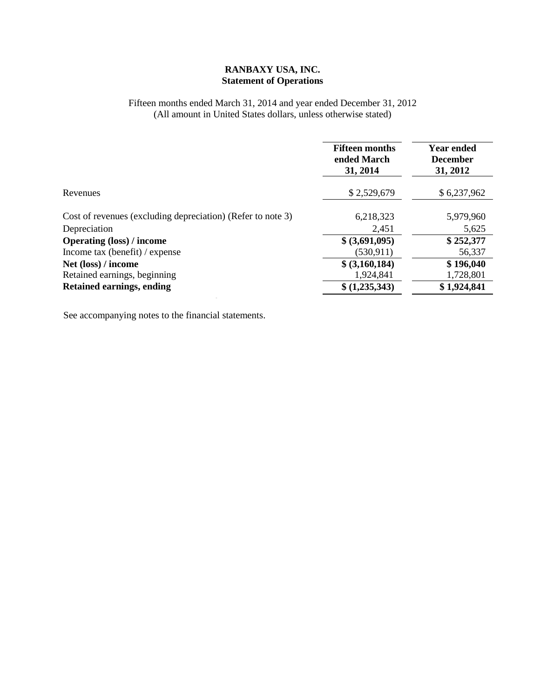# **RANBAXY USA, INC. Statement of Operations**

## Fifteen months ended March 31, 2014 and year ended December 31, 2012 (All amount in United States dollars, unless otherwise stated)

|                                                             | <b>Fifteen months</b><br>ended March<br>31, 2014 | <b>Year ended</b><br><b>December</b><br>31, 2012 |
|-------------------------------------------------------------|--------------------------------------------------|--------------------------------------------------|
| Revenues                                                    | \$2,529,679                                      | \$6,237,962                                      |
| Cost of revenues (excluding depreciation) (Refer to note 3) | 6,218,323                                        | 5,979,960                                        |
| Depreciation                                                | 2,451                                            | 5,625                                            |
| <b>Operating (loss) / income</b>                            | \$ (3,691,095)                                   | \$252,377                                        |
| Income tax (benefit) / expense                              | (530, 911)                                       | 56,337                                           |
| Net (loss) / income                                         | \$ (3,160,184)                                   | \$196,040                                        |
| Retained earnings, beginning                                | 1,924,841                                        | 1,728,801                                        |
| <b>Retained earnings, ending</b>                            | \$ (1,235,343)                                   | \$1,924,841                                      |

See accompanying notes to the financial statements.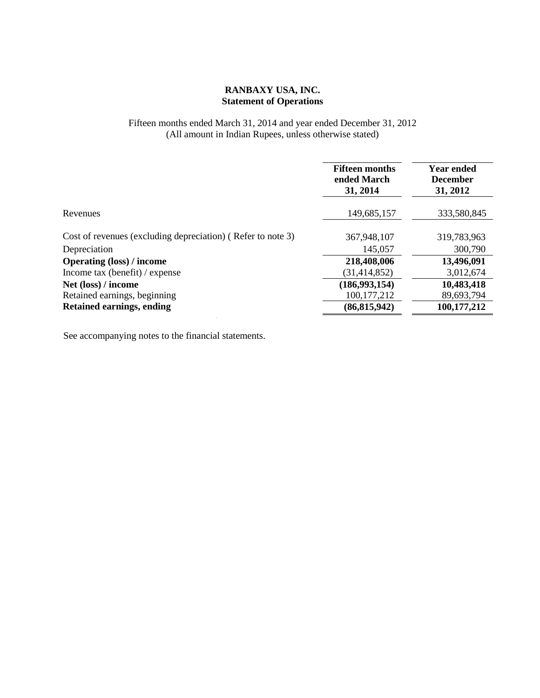# **RANBAXY USA, INC. Statement of Operations**

# Fifteen months ended March 31, 2014 and year ended December 31, 2012 (All amount in Indian Rupees, unless otherwise stated)

|                                                             | <b>Fifteen months</b><br>ended March<br>31, 2014 | <b>Year ended</b><br><b>December</b><br>31, 2012 |
|-------------------------------------------------------------|--------------------------------------------------|--------------------------------------------------|
| Revenues                                                    | 149,685,157                                      | 333,580,845                                      |
| Cost of revenues (excluding depreciation) (Refer to note 3) | 367,948,107                                      | 319,783,963                                      |
| Depreciation                                                | 145,057                                          | 300,790                                          |
| <b>Operating (loss) / income</b>                            | 218,408,006                                      | 13,496,091                                       |
| Income tax (benefit) / expense                              | (31, 414, 852)                                   | 3,012,674                                        |
| Net (loss) / income                                         | (186,993,154)                                    | 10,483,418                                       |
| Retained earnings, beginning                                | 100, 177, 212                                    | 89,693,794                                       |
| <b>Retained earnings, ending</b>                            | (86, 815, 942)                                   | 100,177,212                                      |
|                                                             |                                                  |                                                  |

See accompanying notes to the financial statements.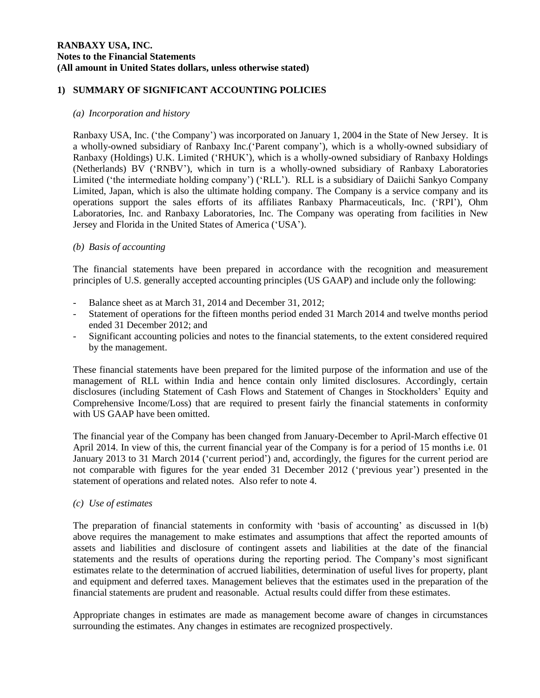## **RANBAXY USA, INC. Notes to the Financial Statements (All amount in United States dollars, unless otherwise stated)**

# **1) SUMMARY OF SIGNIFICANT ACCOUNTING POLICIES**

## *(a) Incorporation and history*

Ranbaxy USA, Inc. ("the Company") was incorporated on January 1, 2004 in the State of New Jersey. It is a wholly-owned subsidiary of Ranbaxy Inc.("Parent company"), which is a wholly-owned subsidiary of Ranbaxy (Holdings) U.K. Limited ("RHUK"), which is a wholly-owned subsidiary of Ranbaxy Holdings (Netherlands) BV ("RNBV"), which in turn is a wholly-owned subsidiary of Ranbaxy Laboratories Limited ("the intermediate holding company") ("RLL"). RLL is a subsidiary of Daiichi Sankyo Company Limited, Japan, which is also the ultimate holding company. The Company is a service company and its operations support the sales efforts of its affiliates Ranbaxy Pharmaceuticals, Inc. ("RPI"), Ohm Laboratories, Inc. and Ranbaxy Laboratories, Inc. The Company was operating from facilities in New Jersey and Florida in the United States of America ("USA").

## *(b) Basis of accounting*

The financial statements have been prepared in accordance with the recognition and measurement principles of U.S. generally accepted accounting principles (US GAAP) and include only the following:

- Balance sheet as at March 31, 2014 and December 31, 2012;
- Statement of operations for the fifteen months period ended 31 March 2014 and twelve months period ended 31 December 2012; and
- Significant accounting policies and notes to the financial statements, to the extent considered required by the management.

These financial statements have been prepared for the limited purpose of the information and use of the management of RLL within India and hence contain only limited disclosures. Accordingly, certain disclosures (including Statement of Cash Flows and Statement of Changes in Stockholders" Equity and Comprehensive Income/Loss) that are required to present fairly the financial statements in conformity with US GAAP have been omitted.

The financial year of the Company has been changed from January-December to April-March effective 01 April 2014. In view of this, the current financial year of the Company is for a period of 15 months i.e. 01 January 2013 to 31 March 2014 ("current period") and, accordingly, the figures for the current period are not comparable with figures for the year ended 31 December 2012 ("previous year") presented in the statement of operations and related notes. Also refer to note 4.

#### *(c) Use of estimates*

The preparation of financial statements in conformity with "basis of accounting" as discussed in 1(b) above requires the management to make estimates and assumptions that affect the reported amounts of assets and liabilities and disclosure of contingent assets and liabilities at the date of the financial statements and the results of operations during the reporting period. The Company's most significant estimates relate to the determination of accrued liabilities, determination of useful lives for property, plant and equipment and deferred taxes. Management believes that the estimates used in the preparation of the financial statements are prudent and reasonable. Actual results could differ from these estimates.

Appropriate changes in estimates are made as management become aware of changes in circumstances surrounding the estimates. Any changes in estimates are recognized prospectively.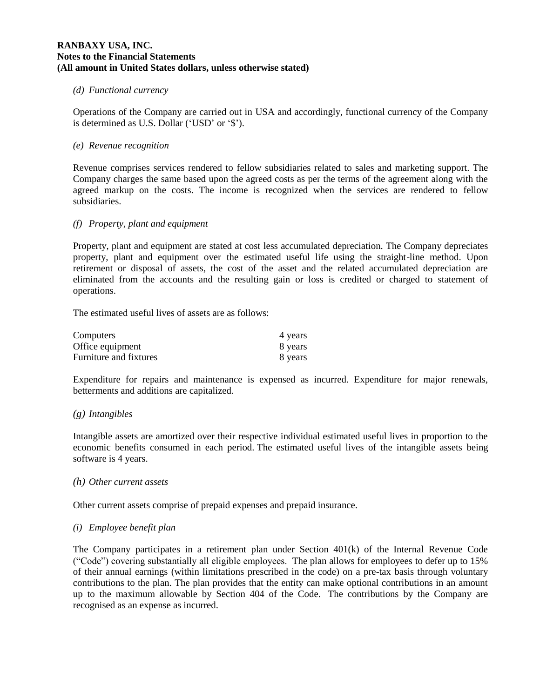## **RANBAXY USA, INC. Notes to the Financial Statements (All amount in United States dollars, unless otherwise stated)**

## *(d) Functional currency*

Operations of the Company are carried out in USA and accordingly, functional currency of the Company is determined as U.S. Dollar ('USD' or '\$').

#### *(e) Revenue recognition*

Revenue comprises services rendered to fellow subsidiaries related to sales and marketing support. The Company charges the same based upon the agreed costs as per the terms of the agreement along with the agreed markup on the costs. The income is recognized when the services are rendered to fellow subsidiaries.

#### *(f) Property, plant and equipment*

Property, plant and equipment are stated at cost less accumulated depreciation. The Company depreciates property, plant and equipment over the estimated useful life using the straight-line method. Upon retirement or disposal of assets, the cost of the asset and the related accumulated depreciation are eliminated from the accounts and the resulting gain or loss is credited or charged to statement of operations.

The estimated useful lives of assets are as follows:

| Computers              | 4 years |
|------------------------|---------|
| Office equipment       | 8 years |
| Furniture and fixtures | 8 years |

Expenditure for repairs and maintenance is expensed as incurred. Expenditure for major renewals, betterments and additions are capitalized.

## *(g) Intangibles*

Intangible assets are amortized over their respective individual estimated useful lives in proportion to the economic benefits consumed in each period. The estimated useful lives of the intangible assets being software is 4 years.

#### *(h) Other current assets*

Other current assets comprise of prepaid expenses and prepaid insurance.

#### *(i) Employee benefit plan*

The Company participates in a retirement plan under Section 401(k) of the Internal Revenue Code ("Code") covering substantially all eligible employees. The plan allows for employees to defer up to 15% of their annual earnings (within limitations prescribed in the code) on a pre-tax basis through voluntary contributions to the plan. The plan provides that the entity can make optional contributions in an amount up to the maximum allowable by Section 404 of the Code. The contributions by the Company are recognised as an expense as incurred.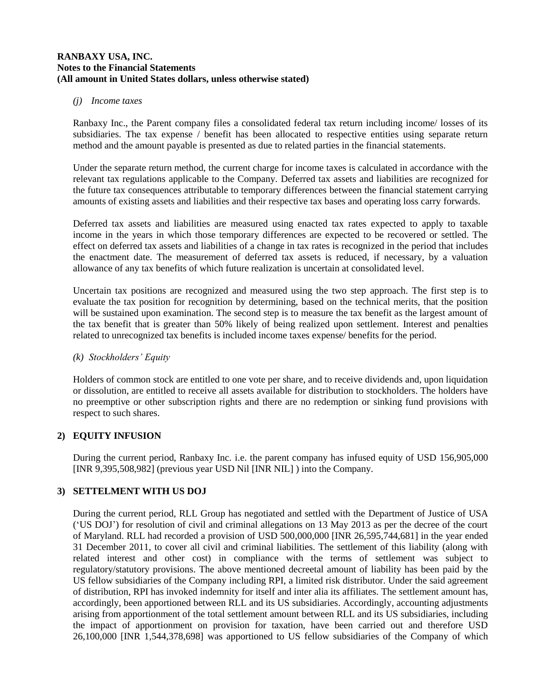## **RANBAXY USA, INC. Notes to the Financial Statements (All amount in United States dollars, unless otherwise stated)**

#### *(j) Income taxes*

Ranbaxy Inc., the Parent company files a consolidated federal tax return including income/ losses of its subsidiaries. The tax expense / benefit has been allocated to respective entities using separate return method and the amount payable is presented as due to related parties in the financial statements.

Under the separate return method, the current charge for income taxes is calculated in accordance with the relevant tax regulations applicable to the Company. Deferred tax assets and liabilities are recognized for the future tax consequences attributable to temporary differences between the financial statement carrying amounts of existing assets and liabilities and their respective tax bases and operating loss carry forwards.

Deferred tax assets and liabilities are measured using enacted tax rates expected to apply to taxable income in the years in which those temporary differences are expected to be recovered or settled. The effect on deferred tax assets and liabilities of a change in tax rates is recognized in the period that includes the enactment date. The measurement of deferred tax assets is reduced, if necessary, by a valuation allowance of any tax benefits of which future realization is uncertain at consolidated level.

Uncertain tax positions are recognized and measured using the two step approach. The first step is to evaluate the tax position for recognition by determining, based on the technical merits, that the position will be sustained upon examination. The second step is to measure the tax benefit as the largest amount of the tax benefit that is greater than 50% likely of being realized upon settlement. Interest and penalties related to unrecognized tax benefits is included income taxes expense/ benefits for the period.

## *(k) Stockholders' Equity*

Holders of common stock are entitled to one vote per share, and to receive dividends and, upon liquidation or dissolution, are entitled to receive all assets available for distribution to stockholders. The holders have no preemptive or other subscription rights and there are no redemption or sinking fund provisions with respect to such shares.

## **2) EQUITY INFUSION**

During the current period, Ranbaxy Inc. i.e. the parent company has infused equity of USD 156,905,000 [INR 9,395,508,982] (previous year USD Nil [INR NIL] ) into the Company.

## **3) SETTELMENT WITH US DOJ**

During the current period, RLL Group has negotiated and settled with the Department of Justice of USA ("US DOJ") for resolution of civil and criminal allegations on 13 May 2013 as per the decree of the court of Maryland. RLL had recorded a provision of USD 500,000,000 [INR 26,595,744,681] in the year ended 31 December 2011, to cover all civil and criminal liabilities. The settlement of this liability (along with related interest and other cost) in compliance with the terms of settlement was subject to regulatory/statutory provisions. The above mentioned decreetal amount of liability has been paid by the US fellow subsidiaries of the Company including RPI, a limited risk distributor. Under the said agreement of distribution, RPI has invoked indemnity for itself and inter alia its affiliates. The settlement amount has, accordingly, been apportioned between RLL and its US subsidiaries. Accordingly, accounting adjustments arising from apportionment of the total settlement amount between RLL and its US subsidiaries, including the impact of apportionment on provision for taxation, have been carried out and therefore USD 26,100,000 [INR 1,544,378,698] was apportioned to US fellow subsidiaries of the Company of which